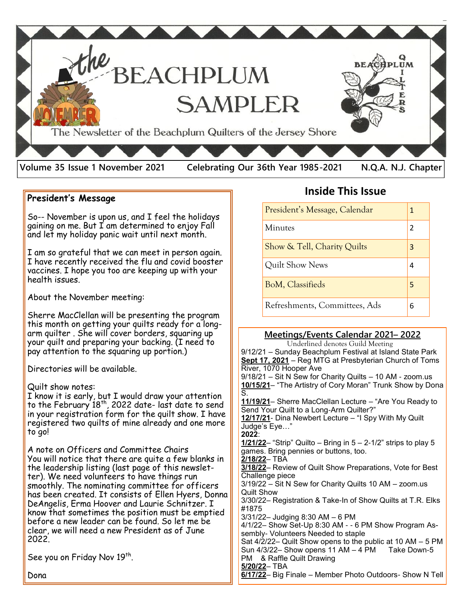

#### **President's Message**

So-- November is upon us, and I feel the holidays gaining on me. But I am determined to enjoy Fall and let my holiday panic wait until next month.

I am so grateful that we can meet in person again. I have recently received the flu and covid booster vaccines. I hope you too are keeping up with your health issues.

About the November meeting:

Sherre MacClellan will be presenting the program this month on getting your quilts ready for a longarm quilter . She will cover borders, squaring up your quilt and preparing your backing. (I need to pay attention to the squaring up portion.)

Directories will be available.

#### Quilt show notes:

I know it is early, but I would draw your attention to the February  $18<sup>th</sup>$ , 2022 date- last date to send in your registration form for the quilt show. I have registered two quilts of mine already and one more to go!

A note on Officers and Committee Chairs You will notice that there are quite a few blanks in the leadership listing (last page of this newsletter). We need volunteers to have things run smoothly. The nominating committee for officers has been created. It consists of Ellen Hyers, Donna DeAngelis, Erma Hoover and Laurie Schnitzer. I know that sometimes the position must be emptied before a new leader can be found. So let me be clear, we will need a new President as of June 2022.

See you on Friday Nov 19th.

**Inside This Issue**

| President's Message, Calendar | 1 |
|-------------------------------|---|
| <b>Minutes</b>                | 2 |
| Show & Tell, Charity Quilts   | 3 |
| Quilt Show News               | 4 |
| <b>BoM, Classifieds</b>       | 5 |
| Refreshments, Committees, Ads | 6 |

#### **Meetings/Events Calendar 2021– 2022**

 Underlined denotes Guild Meeting 9/12/21 – Sunday Beachplum Festival at Island State Park **Sept 17, 2021** – Reg MTG at Presbyterian Church of Toms River, 1070 Hooper Ave 9/18/21 – Sit N Sew for Charity Quilts – 10 AM - zoom.us **10/15/21**– "The Artistry of Cory Moran" Trunk Show by Dona S. **11/19/21**– Sherre MacClellan Lecture – "Are You Ready to Send Your Quilt to a Long-Arm Quilter?" **12/17/21**- Dina Newbert Lecture – "I Spy With My Quilt Judge's Eye…" **2022**: **1/21/22**– "Strip" Quilto – Bring in 5 – 2-1/2" strips to play 5 games. Bring pennies or buttons, too. **2/18/22**– TBA **3/18/22**– Review of Quilt Show Preparations, Vote for Best Challenge piece 3/19/22 – Sit N Sew for Charity Quilts 10 AM – zoom.us Quilt Show 3/30/22– Registration & Take-In of Show Quilts at T.R. Elks #1875 3/31/22– Judging 8:30 AM – 6 PM 4/1/22– Show Set-Up 8:30 AM - - 6 PM Show Program Assembly- Volunteers Needed to staple Sat 4/2/22– Quilt Show opens to the public at 10 AM – 5 PM Sun  $4/3/22-$  Show opens 11 AM  $-4$  PM Take Down-5 PM & Raffle Quilt Drawing **5/20/22**– TBA **6/17/22**– Big Finale – Member Photo Outdoors- Show N Tell

Dona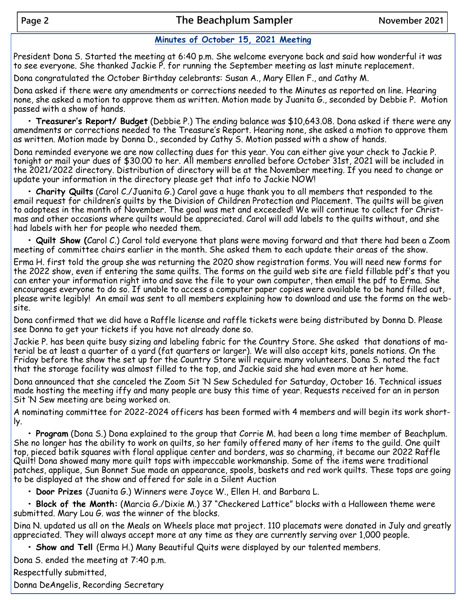### **Minutes of October 15, 2021 Meeting**

President Dona S. Started the meeting at 6:40 p.m. She welcome everyone back and said how wonderful it was to see everyone. She thanked Jackie P. for running the September meeting as last minute replacement.

Dona congratulated the October Birthday celebrants: Susan A., Mary Ellen F., and Cathy M.

Dona asked if there were any amendments or corrections needed to the Minutes as reported on line. Hearing none, she asked a motion to approve them as written. Motion made by Juanita G., seconded by Debbie P. Motion passed with a show of hands.

**• Treasurer's Report/ Budget** (Debbie P.) The ending balance was \$10,643.08. Dona asked if there were any amendments or corrections needed to the Treasure's Report. Hearing none, she asked a motion to approve them as written. Motion made by Donna D., seconded by Cathy S. Motion passed with a show of hands.

Dona reminded everyone we are now collecting dues for this year. You can either give your check to Jackie P. tonight or mail your dues of \$30.00 to her. All members enrolled before October 31st, 2021 will be included in the 2021/2022 directory. Distribution of directory will be at the November meeting. If you need to change or update your information in the directory please get that info to Jackie NOW!

**• Charity Quilts** (Carol C./Juanita G.) Carol gave a huge thank you to all members that responded to the email request for children's quilts by the Division of Children Protection and Placement. The quilts will be given to adoptees in the month of November. The goal was met and exceeded! We will continue to collect for Christmas and other occasions where quilts would be appreciated. Carol will add labels to the quilts without, and she had labels with her for people who needed them.

**• Quilt Show (**Carol C.) Carol told everyone that plans were moving forward and that there had been a Zoom meeting of committee chairs earlier in the month. She asked them to each update their areas of the show.

Erma H. first told the group she was returning the 2020 show registration forms. You will need new forms for the 2022 show, even if entering the same quilts. The forms on the guild web site are field fillable pdf's that you can enter your information right into and save the file to your own computer, then email the pdf to Erma. She encourages everyone to do so. If unable to access a computer paper copies were available to be hand filled out, please write legibly! An email was sent to all members explaining how to download and use the forms on the website.

Dona confirmed that we did have a Raffle license and raffle tickets were being distributed by Donna D. Please see Donna to get your tickets if you have not already done so.

Jackie P. has been quite busy sizing and labeling fabric for the Country Store. She asked that donations of material be at least a quarter of a yard (fat quarters or larger). We will also accept kits, panels notions. On the Friday before the show the set up for the Country Store will require many volunteers. Dona S. noted the fact that the storage facility was almost filled to the top, and Jackie said she had even more at her home.

Dona announced that she canceled the Zoom Sit 'N Sew Scheduled for Saturday, October 16. Technical issues made hosting the meeting iffy and many people are busy this time of year. Requests received for an in person Sit 'N Sew meeting are being worked on.

A nominating committee for 2022-2024 officers has been formed with 4 members and will begin its work shortly.

**• Program** (Dona S.) Dona explained to the group that Corrie M. had been a long time member of Beachplum. She no longer has the ability to work on quilts, so her family offered many of her items to the guild. One quilt top, pieced batik squares with floral applique center and borders, was so charming, it became our 2022 Raffle Quilt! Dona showed many more quilt tops with impeccable workmanship. Some of the items were traditional patches, applique, Sun Bonnet Sue made an appearance, spools, baskets and red work quilts. These tops are going to be displayed at the show and offered for sale in a Silent Auction

**• Door Prizes** (Juanita G.) Winners were Joyce W., Ellen H. and Barbara L.

**• Block of the Month:** (Marcia G./Dixie M.) 37 "Checkered Lattice" blocks with a Halloween theme were submitted. Mary Lou G. was the winner of the blocks.

Dina N. updated us all on the Meals on Wheels place mat project. 110 placemats were donated in July and greatly appreciated. They will always accept more at any time as they are currently serving over 1,000 people.

**• Show and Tell** (Erma H.) Many Beautiful Quits were displayed by our talented members.

Dona S. ended the meeting at 7:40 p.m.

Respectfully submitted,

Donna DeAngelis, Recording Secretary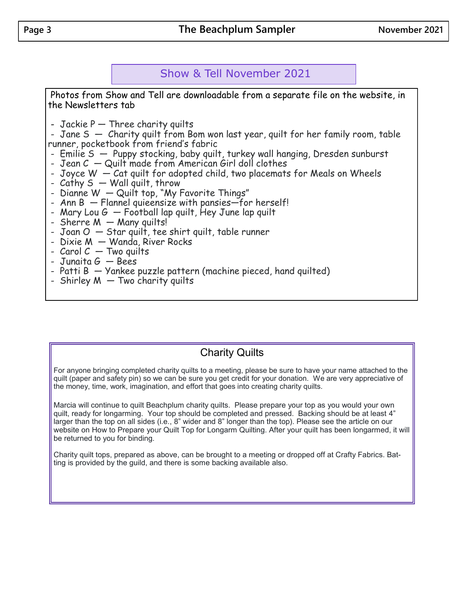# Show & Tell November 2021

Photos from Show and Tell are downloadable from a separate file on the website, in the Newsletters tab

- Jackie  $P -$  Three charity quilts

- Jane S  $-$  Charity quilt from Bom won last year, quilt for her family room, table runner, pocketbook from friend's fabric

- Emilie S Puppy stocking, baby quilt, turkey wall hanging, Dresden sunburst
- Jean  $C -$  Quilt made from American Girl doll clothes
- Joyce W Cat quilt for adopted child, two placemats for Meals on Wheels
- Cathy  $S W$ all quilt, throw
- Dianne W Quilt top, "My Favorite Things"
- Ann B Flannel quieensize with pansies—for herself!
- Mary Lou  $G -$  Football lap quilt, Hey June lap quilt
- Sherre  $M M$ any quilts!
- $Joan O Star$  quilt, tee shirt quilt, table runner
- Dixie M Wanda, River Rocks
- $C$ arol  $C Two$  quilts
- Junaita  $G Bees$
- $-$  Patti B  $-$  Yankee puzzle pattern (machine pieced, hand quilted)
- Shirley  $M Two$  charity quilts

# Charity Quilts

For anyone bringing completed charity quilts to a meeting, please be sure to have your name attached to the quilt (paper and safety pin) so we can be sure you get credit for your donation. We are very appreciative of the money, time, work, imagination, and effort that goes into creating charity quilts.

Marcia will continue to quilt Beachplum charity quilts. Please prepare your top as you would your own quilt, ready for longarming. Your top should be completed and pressed. Backing should be at least 4" larger than the top on all sides (i.e., 8" wider and 8" longer than the top). Please see the article on our website on How to Prepare your Quilt Top for Longarm Quilting. After your quilt has been longarmed, it will be returned to you for binding.

Charity quilt tops, prepared as above, can be brought to a meeting or dropped off at Crafty Fabrics. Batting is provided by the guild, and there is some backing available also.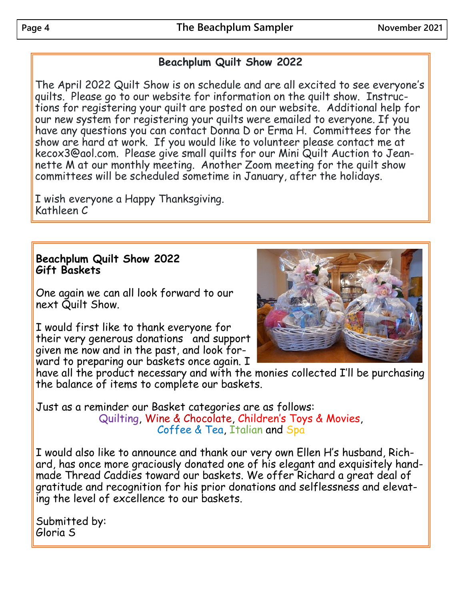# **Beachplum Quilt Show 2022**

The April 2022 Quilt Show is on schedule and are all excited to see everyone's quilts. Please go to our website for information on the quilt show. Instructions for registering your quilt are posted on our website. Additional help for our new system for registering your quilts were emailed to everyone. If you have any questions you can contact Donna D or Erma H. Committees for the show are hard at work. If you would like to volunteer please contact me at kecox3@aol.com. Please give small quilts for our Mini Quilt Auction to Jeannette M at our monthly meeting. Another Zoom meeting for the quilt show committees will be scheduled sometime in January, after the holidays.

I wish everyone a Happy Thanksgiving. Kathleen C

# **Beachplum Quilt Show 2022 Gift Baskets**

One again we can all look forward to our next Quilt Show.

I would first like to thank everyone for their very generous donations and support given me now and in the past, and look forward to preparing our baskets once again. I



have all the product necessary and with the monies collected I'll be purchasing the balance of items to complete our baskets.

Just as a reminder our Basket categories are as follows: Quilting, Wine & Chocolate, Children's Toys & Movies, Coffee & Tea, Italian and Spa

I would also like to announce and thank our very own Ellen H's husband, Richard, has once more graciously donated one of his elegant and exquisitely handmade Thread Caddies toward our baskets. We offer Richard a great deal of gratitude and recognition for his prior donations and selflessness and elevating the level of excellence to our baskets.

Submitted by: Gloria S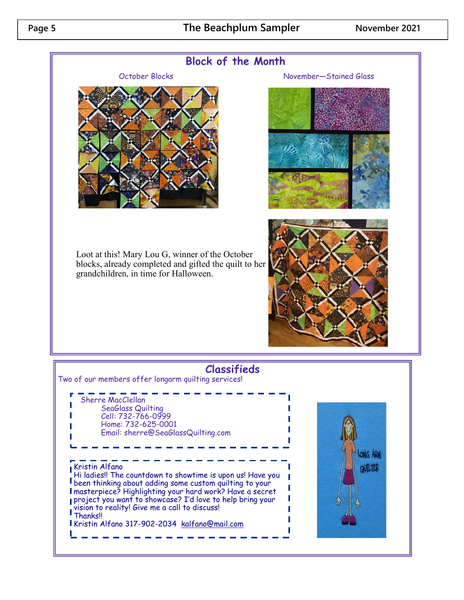